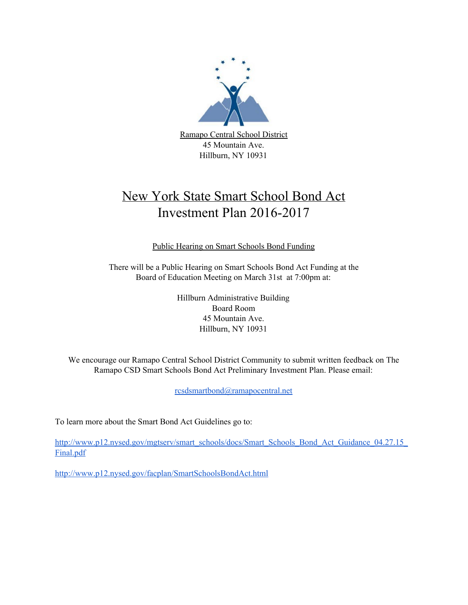

# New York State Smart School Bond Act Investment Plan 2016-2017

Public Hearing on Smart Schools Bond Funding

There will be a Public Hearing on Smart Schools Bond Act Funding at the Board of Education Meeting on March 31st at 7:00pm at:

> Hillburn Administrative Building Board Room 45 Mountain Ave. Hillburn, NY 10931

We encourage our Ramapo Central School District Community to submit written feedback on The Ramapo CSD Smart Schools Bond Act Preliminary Investment Plan. Please email:

[rcsdsmartbond@ramapocentral.net](mailto:rcsdsmartbond@ramapocentral.net)

To learn more about the Smart Bond Act Guidelines go to:

http://www.p12.nysed.gov/mgtserv/smart\_schools/docs/Smart\_Schools\_Bond\_Act\_Guidance\_04.27.15 [Final.pdf](http://www.p12.nysed.gov/mgtserv/smart_schools/docs/Smart_Schools_Bond_Act_Guidance_04.27.15_Final.pdf)

<http://www.p12.nysed.gov/facplan/SmartSchoolsBondAct.html>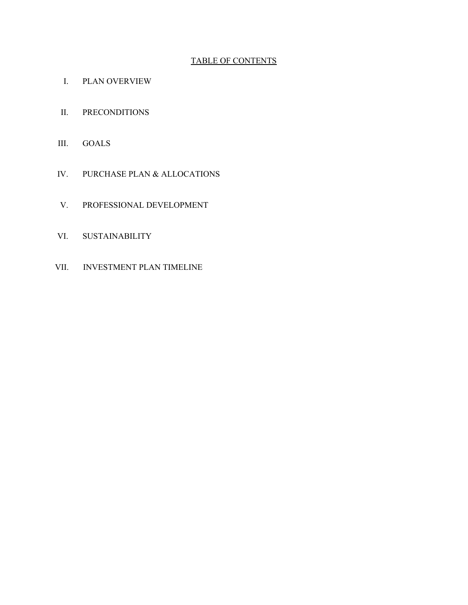## TABLE OF CONTENTS

- I. PLAN OVERVIEW
- II. PRECONDITIONS
- III. GOALS
- IV. PURCHASE PLAN & ALLOCATIONS
- V. PROFESSIONAL DEVELOPMENT
- VI. SUSTAINABILITY
- VII. INVESTMENT PLAN TIMELINE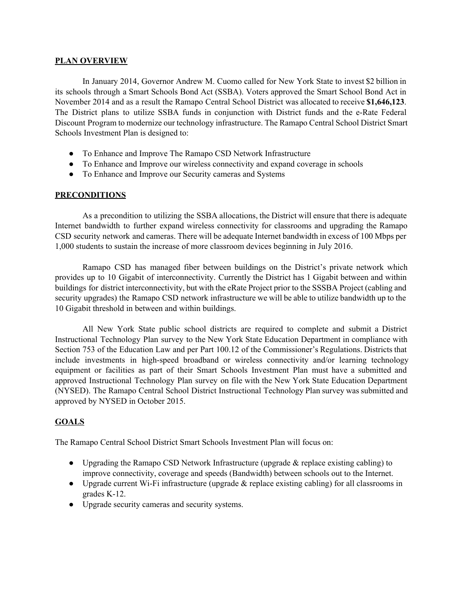#### **PLAN OVERVIEW**

In January 2014, Governor Andrew M. Cuomo called for New York State to invest \$2 billion in its schools through a Smart Schools Bond Act (SSBA). Voters approved the Smart School Bond Act in November 2014 and as a result the Ramapo Central School District was allocated to receive **\$1,646,123**. The District plans to utilize SSBA funds in conjunction with District funds and the e-Rate Federal Discount Program to modernize our technology infrastructure. The Ramapo Central School District Smart Schools Investment Plan is designed to:

- To Enhance and Improve The Ramapo CSD Network Infrastructure
- To Enhance and Improve our wireless connectivity and expand coverage in schools
- To Enhance and Improve our Security cameras and Systems

### **PRECONDITIONS**

As a precondition to utilizing the SSBA allocations, the District will ensure that there is adequate Internet bandwidth to further expand wireless connectivity for classrooms and upgrading the Ramapo CSD security network and cameras. There will be adequate Internet bandwidth in excess of 100 Mbps per 1,000 students to sustain the increase of more classroom devices beginning in July 2016.

Ramapo CSD has managed fiber between buildings on the District's private network which provides up to 10 Gigabit of interconnectivity. Currently the District has 1 Gigabit between and within buildings for district interconnectivity, but with the eRate Project prior to the SSSBA Project (cabling and security upgrades) the Ramapo CSD network infrastructure we will be able to utilize bandwidth up to the 10 Gigabit threshold in between and within buildings.

All New York State public school districts are required to complete and submit a District Instructional Technology Plan survey to the New York State Education Department in compliance with Section 753 of the Education Law and per Part 100.12 of the Commissioner's Regulations. Districts that include investments in high-speed broadband or wireless connectivity and/or learning technology equipment or facilities as part of their Smart Schools Investment Plan must have a submitted and approved Instructional Technology Plan survey on file with the New York State Education Department (NYSED). The Ramapo Central School District Instructional Technology Plan survey was submitted and approved by NYSED in October 2015.

## **GOALS**

The Ramapo Central School District Smart Schools Investment Plan will focus on:

- Upgrading the Ramapo CSD Network Infrastructure (upgrade  $\&$  replace existing cabling) to improve connectivity, coverage and speeds (Bandwidth) between schools out to the Internet.
- Upgrade current Wi-Fi infrastructure (upgrade & replace existing cabling) for all classrooms in grades K12.
- Upgrade security cameras and security systems.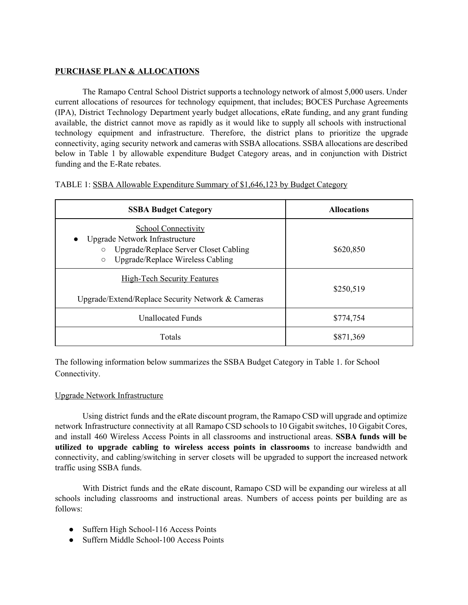## **PURCHASE PLAN & ALLOCATIONS**

The Ramapo Central School District supports a technology network of almost 5,000 users. Under current allocations of resources for technology equipment, that includes; BOCES Purchase Agreements (IPA), District Technology Department yearly budget allocations, eRate funding, and any grant funding available, the district cannot move as rapidly as it would like to supply all schools with instructional technology equipment and infrastructure. Therefore, the district plans to prioritize the upgrade connectivity, aging security network and cameras with SSBA allocations. SSBA allocations are described below in Table 1 by allowable expenditure Budget Category areas, and in conjunction with District funding and the E-Rate rebates.

| TABLE 1: SSBA Allowable Expenditure Summary of \$1,646,123 by Budget Category |  |  |
|-------------------------------------------------------------------------------|--|--|
|                                                                               |  |  |

| <b>SSBA Budget Category</b>                                                                                                                                                  | <b>Allocations</b> |  |
|------------------------------------------------------------------------------------------------------------------------------------------------------------------------------|--------------------|--|
| <b>School Connectivity</b><br>Upgrade Network Infrastructure<br>$\bullet$<br>Upgrade/Replace Server Closet Cabling<br>$\circ$<br>Upgrade/Replace Wireless Cabling<br>$\circ$ | \$620,850          |  |
| <b>High-Tech Security Features</b><br>Upgrade/Extend/Replace Security Network & Cameras                                                                                      | \$250,519          |  |
| <b>Unallocated Funds</b>                                                                                                                                                     | \$774,754          |  |
| Totals                                                                                                                                                                       | \$871,369          |  |

The following information below summarizes the SSBA Budget Category in Table 1. for School Connectivity.

#### Upgrade Network Infrastructure

Using district funds and the eRate discount program, the Ramapo CSD will upgrade and optimize network Infrastructure connectivity at all Ramapo CSD schools to 10 Gigabit switches, 10 Gigabit Cores, and install 460 Wireless Access Points in all classrooms and instructional areas. **SSBA funds will be utilized to upgrade cabling to wireless access points in classrooms** to increase bandwidth and connectivity, and cabling/switching in server closets will be upgraded to support the increased network traffic using SSBA funds.

With District funds and the eRate discount, Ramapo CSD will be expanding our wireless at all schools including classrooms and instructional areas. Numbers of access points per building are as follows:

- Suffern High School-116 Access Points
- $\bullet$  Suffern Middle School-100 Access Points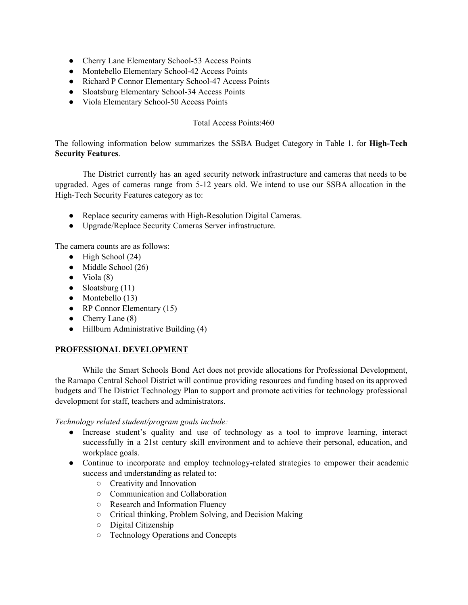- Cherry Lane Elementary School-53 Access Points
- Montebello Elementary School-42 Access Points
- Richard P Connor Elementary School-47 Access Points
- Sloatsburg Elementary School-34 Access Points
- Viola Elementary School-50 Access Points

## Total Access Points:460

The following information below summarizes the SSBA Budget Category in Table 1. for **High-Tech Security Features**.

The District currently has an aged security network infrastructure and cameras that needs to be upgraded. Ages of cameras range from 512 years old. We intend to use our SSBA allocation in the High-Tech Security Features category as to:

- Replace security cameras with High-Resolution Digital Cameras.
- Upgrade/Replace Security Cameras Server infrastructure.

The camera counts are as follows:

- $\bullet$  High School (24)
- Middle School (26)
- $\bullet$  Viola (8)
- $\bullet$  Sloatsburg (11)
- $\bullet$  Montebello (13)
- RP Connor Elementary  $(15)$
- Cherry Lane  $(8)$
- Hillburn Administrative Building (4)

#### **PROFESSIONAL DEVELOPMENT**

While the Smart Schools Bond Act does not provide allocations for Professional Development, the Ramapo Central School District will continue providing resources and funding based on its approved budgets and The District Technology Plan to support and promote activities for technology professional development for staff, teachers and administrators.

*Technology related student/program goals include:*

- Increase student's quality and use of technology as a tool to improve learning, interact successfully in a 21st century skill environment and to achieve their personal, education, and workplace goals.
- Continue to incorporate and employ technology-related strategies to empower their academic success and understanding as related to:
	- Creativity and Innovation
	- Communication and Collaboration
	- Research and Information Fluency
	- Critical thinking, Problem Solving, and Decision Making
	- Digital Citizenship
	- Technology Operations and Concepts